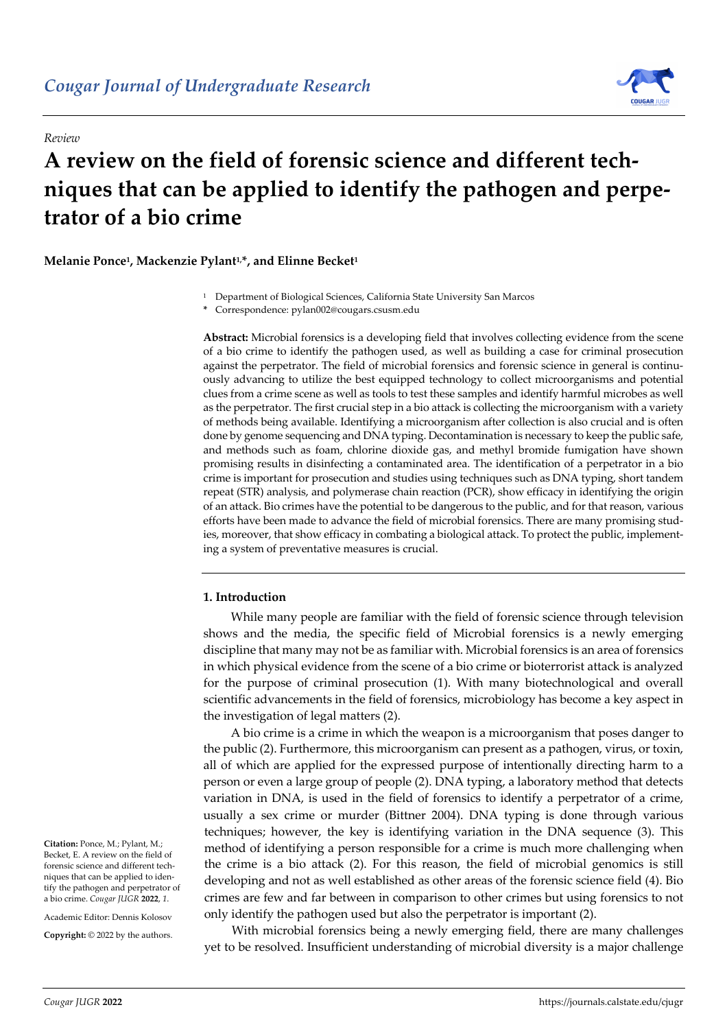*Review*



# **A review on the field of forensic science and different techniques that can be applied to identify the pathogen and perpetrator of a bio crime**

# **Melanie Ponce1, Mackenzie Pylant1,\*, and Elinne Becket1**

<sup>1</sup> Department of Biological Sciences, California State University San Marcos

**\*** Correspondence: pylan002@cougars.csusm.edu

**Abstract:** Microbial forensics is a developing field that involves collecting evidence from the scene of a bio crime to identify the pathogen used, as well as building a case for criminal prosecution against the perpetrator. The field of microbial forensics and forensic science in general is continuously advancing to utilize the best equipped technology to collect microorganisms and potential clues from a crime scene as well as tools to test these samples and identify harmful microbes as well as the perpetrator. The first crucial step in a bio attack is collecting the microorganism with a variety of methods being available. Identifying a microorganism after collection is also crucial and is often done by genome sequencing and DNA typing. Decontamination is necessary to keep the public safe, and methods such as foam, chlorine dioxide gas, and methyl bromide fumigation have shown promising results in disinfecting a contaminated area. The identification of a perpetrator in a bio crime is important for prosecution and studies using techniques such as DNA typing, short tandem repeat (STR) analysis, and polymerase chain reaction (PCR), show efficacy in identifying the origin of an attack. Bio crimes have the potential to be dangerous to the public, and for that reason, various efforts have been made to advance the field of microbial forensics. There are many promising studies, moreover, that show efficacy in combating a biological attack. To protect the public, implementing a system of preventative measures is crucial.

# **1. Introduction**

While many people are familiar with the field of forensic science through television shows and the media, the specific field of Microbial forensics is a newly emerging discipline that many may not be as familiar with. Microbial forensics is an area of forensics in which physical evidence from the scene of a bio crime or bioterrorist attack is analyzed for the purpose of criminal prosecution (1). With many biotechnological and overall scientific advancements in the field of forensics, microbiology has become a key aspect in the investigation of legal matters (2).

A bio crime is a crime in which the weapon is a microorganism that poses danger to the public (2). Furthermore, this microorganism can present as a pathogen, virus, or toxin, all of which are applied for the expressed purpose of intentionally directing harm to a person or even a large group of people (2). DNA typing, a laboratory method that detects variation in DNA, is used in the field of forensics to identify a perpetrator of a crime, usually a sex crime or murder (Bittner 2004). DNA typing is done through various techniques; however, the key is identifying variation in the DNA sequence (3). This method of identifying a person responsible for a crime is much more challenging when the crime is a bio attack (2). For this reason, the field of microbial genomics is still developing and not as well established as other areas of the forensic science field (4). Bio crimes are few and far between in comparison to other crimes but using forensics to not only identify the pathogen used but also the perpetrator is important (2).

With microbial forensics being a newly emerging field, there are many challenges yet to be resolved. Insufficient understanding of microbial diversity is a major challenge

**Citation:** Ponce, M.; Pylant, M.; Becket, E. A review on the field of forensic science and different techniques that can be applied to identify the pathogen and perpetrator of a bio crime. *Cougar JUGR* **2022**, *1*.

Academic Editor: Dennis Kolosov

**Copyright:** © 2022 by the authors.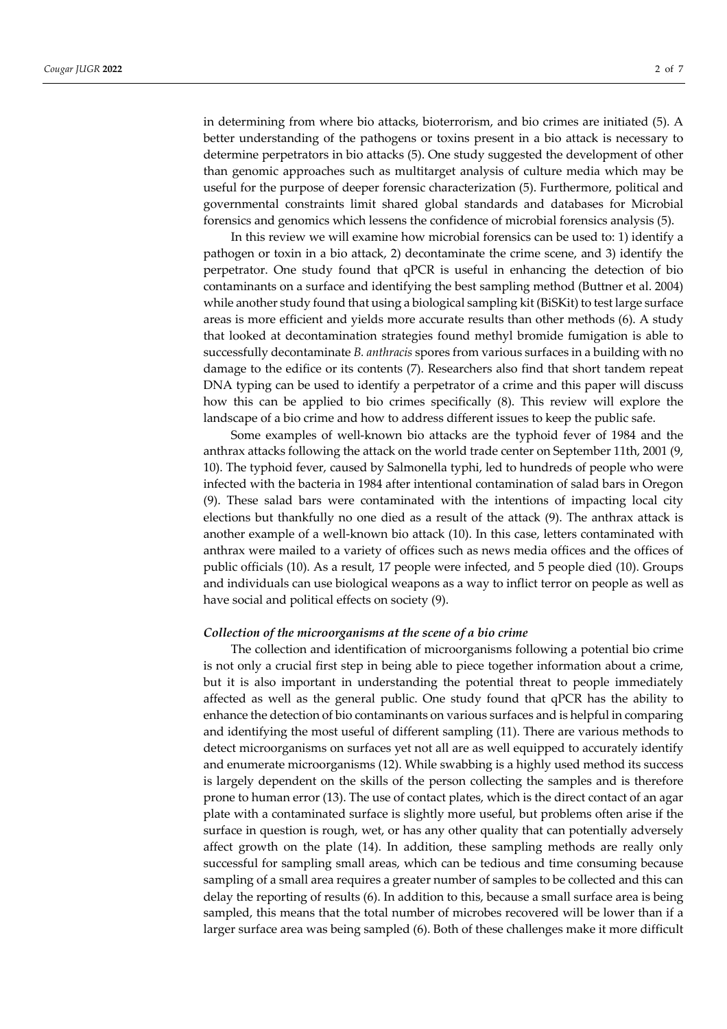in determining from where bio attacks, bioterrorism, and bio crimes are initiated (5). A better understanding of the pathogens or toxins present in a bio attack is necessary to determine perpetrators in bio attacks (5). One study suggested the development of other than genomic approaches such as multitarget analysis of culture media which may be useful for the purpose of deeper forensic characterization (5). Furthermore, political and governmental constraints limit shared global standards and databases for Microbial forensics and genomics which lessens the confidence of microbial forensics analysis (5).

In this review we will examine how microbial forensics can be used to: 1) identify a pathogen or toxin in a bio attack, 2) decontaminate the crime scene, and 3) identify the perpetrator. One study found that qPCR is useful in enhancing the detection of bio contaminants on a surface and identifying the best sampling method (Buttner et al. 2004) while another study found that using a biological sampling kit (BiSKit) to test large surface areas is more efficient and yields more accurate results than other methods (6). A study that looked at decontamination strategies found methyl bromide fumigation is able to successfully decontaminate *B. anthracis* spores from various surfaces in a building with no damage to the edifice or its contents (7). Researchers also find that short tandem repeat DNA typing can be used to identify a perpetrator of a crime and this paper will discuss how this can be applied to bio crimes specifically (8). This review will explore the landscape of a bio crime and how to address different issues to keep the public safe.

Some examples of well-known bio attacks are the typhoid fever of 1984 and the anthrax attacks following the attack on the world trade center on September 11th, 2001 (9, 10). The typhoid fever, caused by Salmonella typhi, led to hundreds of people who were infected with the bacteria in 1984 after intentional contamination of salad bars in Oregon (9). These salad bars were contaminated with the intentions of impacting local city elections but thankfully no one died as a result of the attack (9). The anthrax attack is another example of a well-known bio attack (10). In this case, letters contaminated with anthrax were mailed to a variety of offices such as news media offices and the offices of public officials (10). As a result, 17 people were infected, and 5 people died (10). Groups and individuals can use biological weapons as a way to inflict terror on people as well as have social and political effects on society (9).

## *Collection of the microorganisms at the scene of a bio crime*

The collection and identification of microorganisms following a potential bio crime is not only a crucial first step in being able to piece together information about a crime, but it is also important in understanding the potential threat to people immediately affected as well as the general public. One study found that qPCR has the ability to enhance the detection of bio contaminants on various surfaces and is helpful in comparing and identifying the most useful of different sampling (11). There are various methods to detect microorganisms on surfaces yet not all are as well equipped to accurately identify and enumerate microorganisms (12). While swabbing is a highly used method its success is largely dependent on the skills of the person collecting the samples and is therefore prone to human error (13). The use of contact plates, which is the direct contact of an agar plate with a contaminated surface is slightly more useful, but problems often arise if the surface in question is rough, wet, or has any other quality that can potentially adversely affect growth on the plate (14). In addition, these sampling methods are really only successful for sampling small areas, which can be tedious and time consuming because sampling of a small area requires a greater number of samples to be collected and this can delay the reporting of results (6). In addition to this, because a small surface area is being sampled, this means that the total number of microbes recovered will be lower than if a larger surface area was being sampled (6). Both of these challenges make it more difficult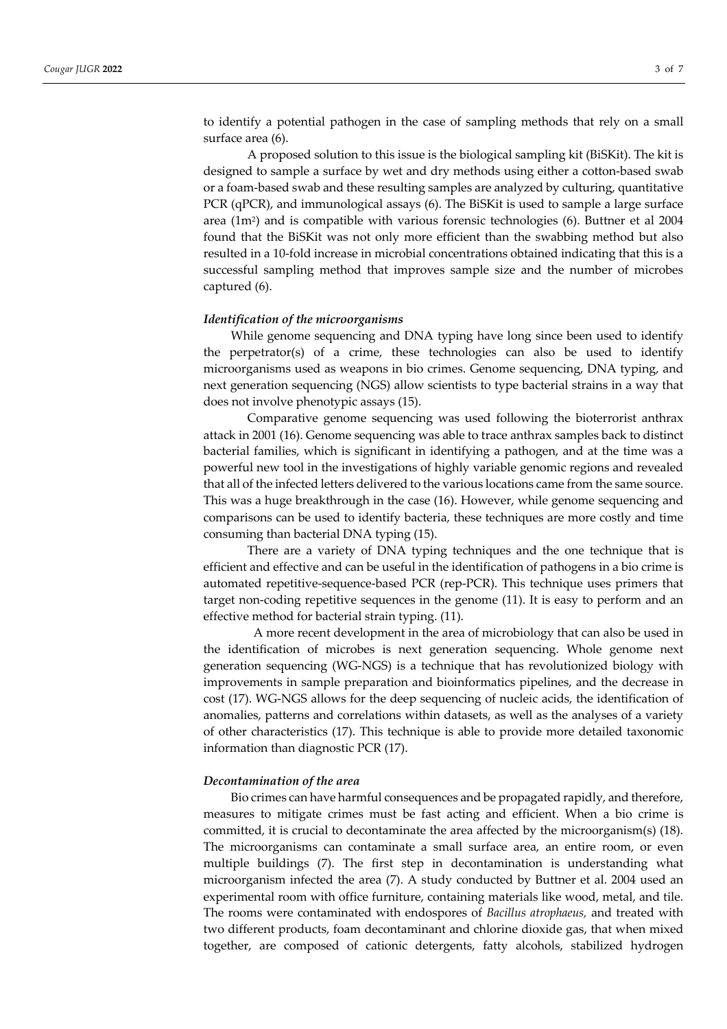to identify a potential pathogen in the case of sampling methods that rely on a small surface area (6).

A proposed solution to this issue is the biological sampling kit (BiSKit). The kit is designed to sample a surface by wet and dry methods using either a cotton-based swab or a foam-based swab and these resulting samples are analyzed by culturing, quantitative PCR (qPCR), and immunological assays (6). The BiSKit is used to sample a large surface area  $(1m^2)$  and is compatible with various forensic technologies (6). Buttner et al 2004 found that the BiSKit was not only more efficient than the swabbing method but also resulted in a 10-fold increase in microbial concentrations obtained indicating that this is a successful sampling method that improves sample size and the number of microbes captured (6).

#### *Identification of the microorganisms*

While genome sequencing and DNA typing have long since been used to identify the perpetrator(s) of a crime, these technologies can also be used to identify microorganisms used as weapons in bio crimes. Genome sequencing, DNA typing, and next generation sequencing (NGS) allow scientists to type bacterial strains in a way that does not involve phenotypic assays (15).

Comparative genome sequencing was used following the bioterrorist anthrax attack in 2001 (16). Genome sequencing was able to trace anthrax samples back to distinct bacterial families, which is significant in identifying a pathogen, and at the time was a powerful new tool in the investigations of highly variable genomic regions and revealed that all of the infected letters delivered to the various locations came from the same source. This was a huge breakthrough in the case (16). However, while genome sequencing and comparisons can be used to identify bacteria, these techniques are more costly and time consuming than bacterial DNA typing (15).

There are a variety of DNA typing techniques and the one technique that is efficient and effective and can be useful in the identification of pathogens in a bio crime is automated repetitive-sequence-based PCR (rep-PCR). This technique uses primers that target non-coding repetitive sequences in the genome (11). It is easy to perform and an effective method for bacterial strain typing. (11).

A more recent development in the area of microbiology that can also be used in the identification of microbes is next generation sequencing. Whole genome next generation sequencing (WG-NGS) is a technique that has revolutionized biology with improvements in sample preparation and bioinformatics pipelines, and the decrease in cost (17). WG-NGS allows for the deep sequencing of nucleic acids, the identification of anomalies, patterns and correlations within datasets, as well as the analyses of a variety of other characteristics (17). This technique is able to provide more detailed taxonomic information than diagnostic PCR (17).

#### *Decontamination of the area*

Bio crimes can have harmful consequences and be propagated rapidly, and therefore, measures to mitigate crimes must be fast acting and efficient. When a bio crime is committed, it is crucial to decontaminate the area affected by the microorganism(s) (18). The microorganisms can contaminate a small surface area, an entire room, or even multiple buildings (7). The first step in decontamination is understanding what microorganism infected the area (7). A study conducted by Buttner et al. 2004 used an experimental room with office furniture, containing materials like wood, metal, and tile. The rooms were contaminated with endospores of *Bacillus atrophaeus,* and treated with two different products, foam decontaminant and chlorine dioxide gas, that when mixed together, are composed of cationic detergents, fatty alcohols, stabilized hydrogen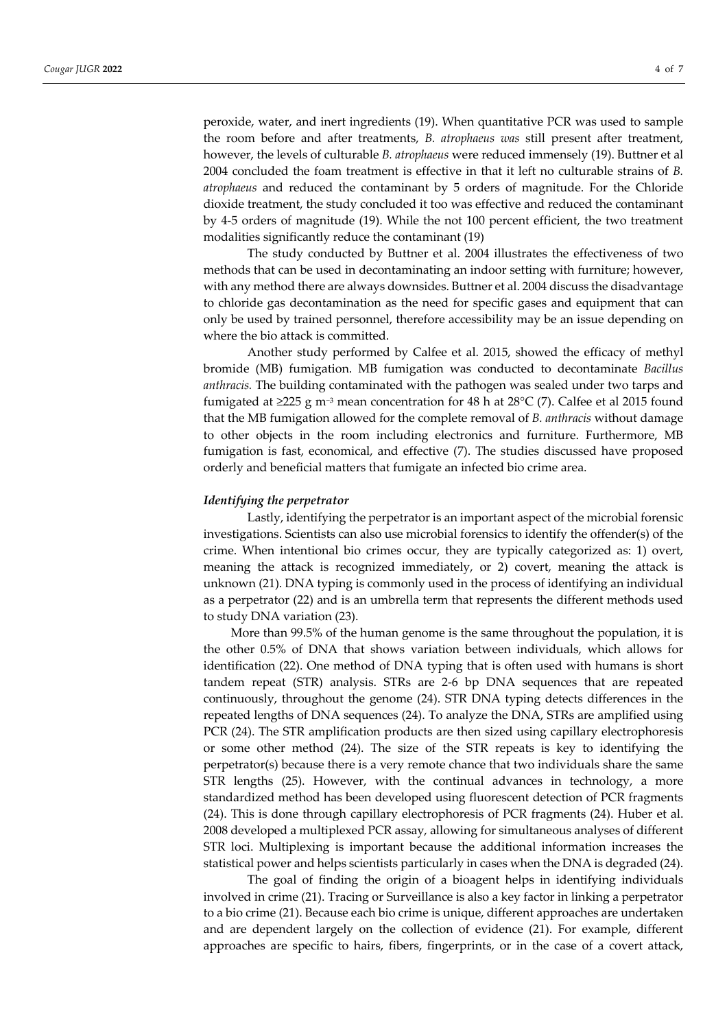peroxide, water, and inert ingredients (19). When quantitative PCR was used to sample the room before and after treatments, *B. atrophaeus was* still present after treatment, however, the levels of culturable *B. atrophaeus* were reduced immensely (19). Buttner et al 2004 concluded the foam treatment is effective in that it left no culturable strains of *B. atrophaeus* and reduced the contaminant by 5 orders of magnitude. For the Chloride dioxide treatment, the study concluded it too was effective and reduced the contaminant by 4-5 orders of magnitude (19). While the not 100 percent efficient, the two treatment modalities significantly reduce the contaminant (19)

The study conducted by Buttner et al. 2004 illustrates the effectiveness of two methods that can be used in decontaminating an indoor setting with furniture; however, with any method there are always downsides. Buttner et al. 2004 discuss the disadvantage to chloride gas decontamination as the need for specific gases and equipment that can only be used by trained personnel, therefore accessibility may be an issue depending on where the bio attack is committed.

Another study performed by Calfee et al. 2015, showed the efficacy of methyl bromide (MB) fumigation. MB fumigation was conducted to decontaminate *Bacillus anthracis.* The building contaminated with the pathogen was sealed under two tarps and fumigated at ≥225 g m<sup>-3</sup> mean concentration for 48 h at 28°C (7). Calfee et al 2015 found that the MB fumigation allowed for the complete removal of *B. anthracis* without damage to other objects in the room including electronics and furniture. Furthermore, MB fumigation is fast, economical, and effective (7). The studies discussed have proposed orderly and beneficial matters that fumigate an infected bio crime area.

#### *Identifying the perpetrator*

Lastly, identifying the perpetrator is an important aspect of the microbial forensic investigations. Scientists can also use microbial forensics to identify the offender(s) of the crime. When intentional bio crimes occur, they are typically categorized as: 1) overt, meaning the attack is recognized immediately, or 2) covert, meaning the attack is unknown (21). DNA typing is commonly used in the process of identifying an individual as a perpetrator (22) and is an umbrella term that represents the different methods used to study DNA variation (23).

More than 99.5% of the human genome is the same throughout the population, it is the other 0.5% of DNA that shows variation between individuals, which allows for identification (22). One method of DNA typing that is often used with humans is short tandem repeat (STR) analysis. STRs are 2-6 bp DNA sequences that are repeated continuously, throughout the genome (24). STR DNA typing detects differences in the repeated lengths of DNA sequences (24). To analyze the DNA, STRs are amplified using PCR (24). The STR amplification products are then sized using capillary electrophoresis or some other method (24). The size of the STR repeats is key to identifying the perpetrator(s) because there is a very remote chance that two individuals share the same STR lengths (25). However, with the continual advances in technology, a more standardized method has been developed using fluorescent detection of PCR fragments (24). This is done through capillary electrophoresis of PCR fragments (24). Huber et al. 2008 developed a multiplexed PCR assay, allowing for simultaneous analyses of different STR loci. Multiplexing is important because the additional information increases the statistical power and helps scientists particularly in cases when the DNA is degraded (24).

The goal of finding the origin of a bioagent helps in identifying individuals involved in crime (21). Tracing or Surveillance is also a key factor in linking a perpetrator to a bio crime (21). Because each bio crime is unique, different approaches are undertaken and are dependent largely on the collection of evidence (21). For example, different approaches are specific to hairs, fibers, fingerprints, or in the case of a covert attack,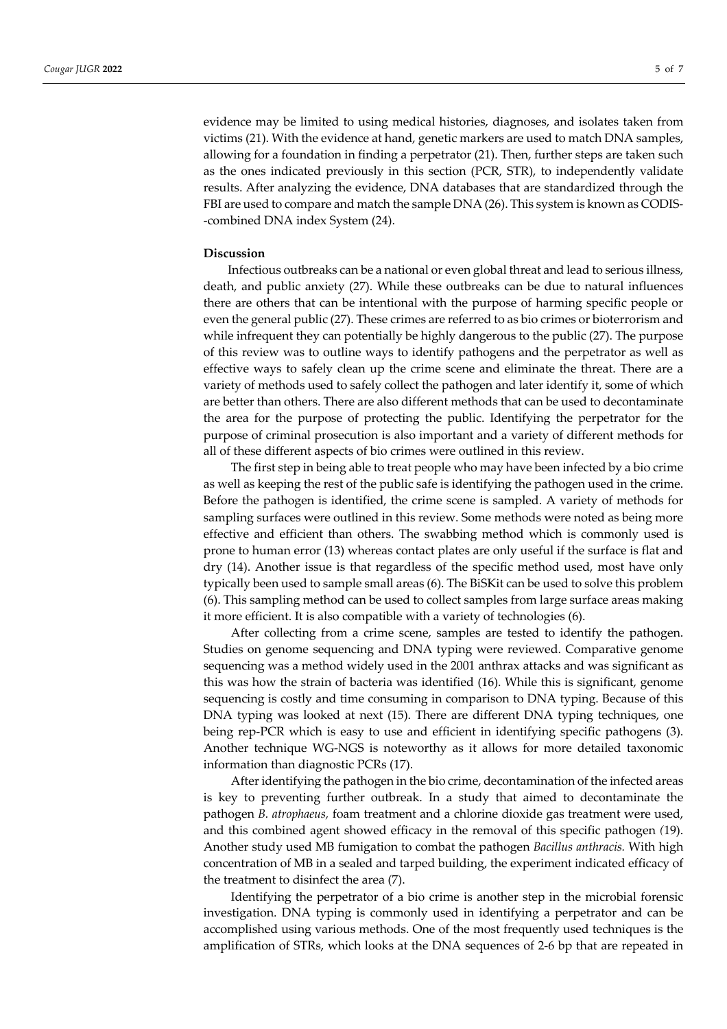evidence may be limited to using medical histories, diagnoses, and isolates taken from victims (21). With the evidence at hand, genetic markers are used to match DNA samples, allowing for a foundation in finding a perpetrator (21). Then, further steps are taken such as the ones indicated previously in this section (PCR, STR), to independently validate results. After analyzing the evidence, DNA databases that are standardized through the FBI are used to compare and match the sample DNA (26). This system is known as CODIS- -combined DNA index System (24).

## **Discussion**

Infectious outbreaks can be a national or even global threat and lead to serious illness, death, and public anxiety (27). While these outbreaks can be due to natural influences there are others that can be intentional with the purpose of harming specific people or even the general public (27). These crimes are referred to as bio crimes or bioterrorism and while infrequent they can potentially be highly dangerous to the public (27). The purpose of this review was to outline ways to identify pathogens and the perpetrator as well as effective ways to safely clean up the crime scene and eliminate the threat. There are a variety of methods used to safely collect the pathogen and later identify it, some of which are better than others. There are also different methods that can be used to decontaminate the area for the purpose of protecting the public. Identifying the perpetrator for the purpose of criminal prosecution is also important and a variety of different methods for all of these different aspects of bio crimes were outlined in this review.

The first step in being able to treat people who may have been infected by a bio crime as well as keeping the rest of the public safe is identifying the pathogen used in the crime. Before the pathogen is identified, the crime scene is sampled. A variety of methods for sampling surfaces were outlined in this review. Some methods were noted as being more effective and efficient than others. The swabbing method which is commonly used is prone to human error (13) whereas contact plates are only useful if the surface is flat and dry (14). Another issue is that regardless of the specific method used, most have only typically been used to sample small areas (6). The BiSKit can be used to solve this problem (6). This sampling method can be used to collect samples from large surface areas making it more efficient. It is also compatible with a variety of technologies (6).

After collecting from a crime scene, samples are tested to identify the pathogen. Studies on genome sequencing and DNA typing were reviewed. Comparative genome sequencing was a method widely used in the 2001 anthrax attacks and was significant as this was how the strain of bacteria was identified (16). While this is significant, genome sequencing is costly and time consuming in comparison to DNA typing. Because of this DNA typing was looked at next (15). There are different DNA typing techniques, one being rep-PCR which is easy to use and efficient in identifying specific pathogens (3). Another technique WG-NGS is noteworthy as it allows for more detailed taxonomic information than diagnostic PCRs (17).

After identifying the pathogen in the bio crime, decontamination of the infected areas is key to preventing further outbreak. In a study that aimed to decontaminate the pathogen *B. atrophaeus,* foam treatment and a chlorine dioxide gas treatment were used, and this combined agent showed efficacy in the removal of this specific pathogen *(*19). Another study used MB fumigation to combat the pathogen *Bacillus anthracis.* With high concentration of MB in a sealed and tarped building, the experiment indicated efficacy of the treatment to disinfect the area (7).

Identifying the perpetrator of a bio crime is another step in the microbial forensic investigation. DNA typing is commonly used in identifying a perpetrator and can be accomplished using various methods. One of the most frequently used techniques is the amplification of STRs, which looks at the DNA sequences of 2-6 bp that are repeated in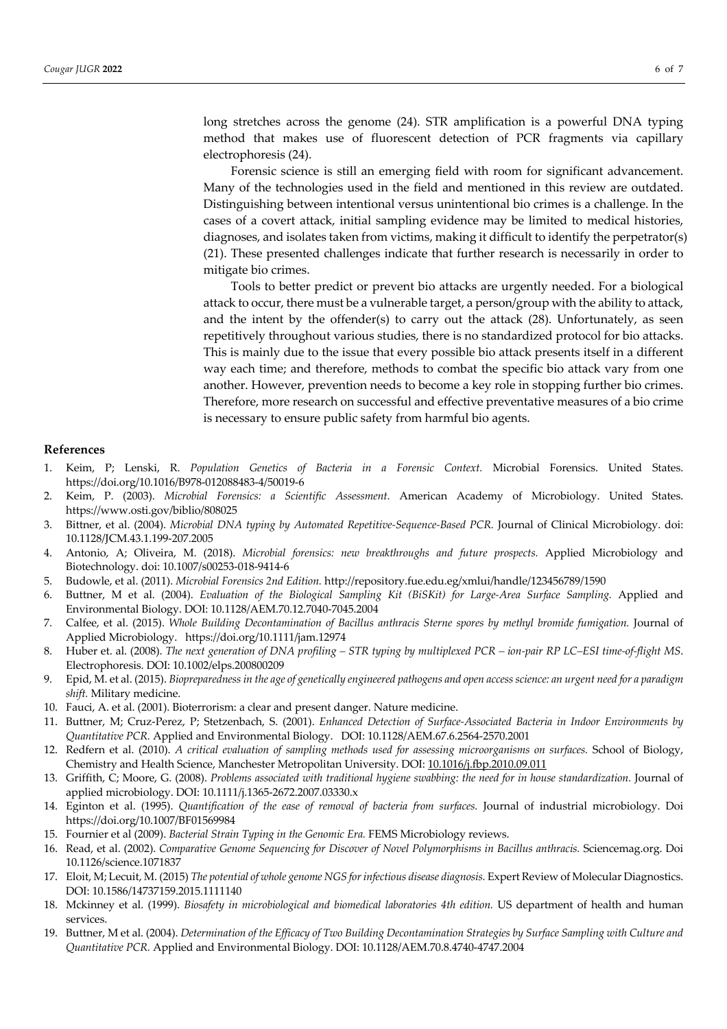long stretches across the genome (24). STR amplification is a powerful DNA typing method that makes use of fluorescent detection of PCR fragments via capillary electrophoresis (24).

Forensic science is still an emerging field with room for significant advancement. Many of the technologies used in the field and mentioned in this review are outdated. Distinguishing between intentional versus unintentional bio crimes is a challenge. In the cases of a covert attack, initial sampling evidence may be limited to medical histories, diagnoses, and isolates taken from victims, making it difficult to identify the perpetrator(s) (21). These presented challenges indicate that further research is necessarily in order to mitigate bio crimes.

Tools to better predict or prevent bio attacks are urgently needed. For a biological attack to occur, there must be a vulnerable target, a person/group with the ability to attack, and the intent by the offender(s) to carry out the attack (28). Unfortunately, as seen repetitively throughout various studies, there is no standardized protocol for bio attacks. This is mainly due to the issue that every possible bio attack presents itself in a different way each time; and therefore, methods to combat the specific bio attack vary from one another. However, prevention needs to become a key role in stopping further bio crimes. Therefore, more research on successful and effective preventative measures of a bio crime is necessary to ensure public safety from harmful bio agents.

## **References**

- 1. Keim, P; Lenski, R. *Population Genetics of Bacteria in a Forensic Context.* Microbial Forensics. United States. https://doi.org/10.1016/B978-012088483-4/50019-6
- 2. Keim, P. (2003). *Microbial Forensics: a Scientific Assessment.* American Academy of Microbiology. United States. https://www.osti.gov/biblio/808025
- 3. Bittner, et al. (2004). *Microbial DNA typing by Automated Repetitive-Sequence-Based PCR.* Journal of Clinical Microbiology. doi: 10.1128/JCM.43.1.199-207.2005
- 4. Antonio, A; Oliveira, M. (2018). *Microbial forensics: new breakthroughs and future prospects.* Applied Microbiology and Biotechnology. doi: 10.1007/s00253-018-9414-6
- 5. Budowle, et al. (2011). *Microbial Forensics 2nd Edition.* http://repository.fue.edu.eg/xmlui/handle/123456789/1590
- 6. Buttner, M et al. (2004). *Evaluation of the Biological Sampling Kit (BiSKit) for Large-Area Surface Sampling.* Applied and Environmental Biology. DOI: 10.1128/AEM.70.12.7040-7045.2004
- 7. Calfee, et al. (2015). *Whole Building Decontamination of Bacillus anthracis Sterne spores by methyl bromide fumigation.* Journal of Applied Microbiology. https://doi.org/10.1111/jam.12974
- 8. Huber et. al. (2008). *The next generation of DNA profiling – STR typing by multiplexed PCR – ion-pair RP LC–ESI time-of-flight MS*. Electrophoresis. DOI: 10.1002/elps.200800209
- 9. Epid, M. et al. (2015). *Biopreparedness in the age of genetically engineered pathogens and open access science: an urgent need for a paradigm shift.* Military medicine.
- 10. Fauci, A. et al. (2001). Bioterrorism: a clear and present danger. Nature medicine.
- 11. Buttner, M; Cruz-Perez, P; Stetzenbach, S. (2001). *Enhanced Detection of Surface-Associated Bacteria in Indoor Environments by Quantitative PCR.* Applied and Environmental Biology. DOI: 10.1128/AEM.67.6.2564-2570.2001
- 12. Redfern et al. (2010). *A critical evaluation of sampling methods used for assessing microorganisms on surfaces.* School of Biology, Chemistry and Health Science, Manchester Metropolitan University. DOI: 10.1016/j.fbp.2010.09.011
- 13. Griffith, C; Moore, G. (2008). *Problems associated with traditional hygiene swabbing: the need for in house standardization.* Journal of applied microbiology. DOI: 10.1111/j.1365-2672.2007.03330.x
- 14. Eginton et al. (1995). *Quantification of the ease of removal of bacteria from surfaces.* Journal of industrial microbiology. Doi https://doi.org/10.1007/BF01569984
- 15. Fournier et al (2009). *Bacterial Strain Typing in the Genomic Era.* FEMS Microbiology reviews.
- 16. Read, et al. (2002). *Comparative Genome Sequencing for Discover of Novel Polymorphisms in Bacillus anthracis.* Sciencemag.org. Doi 10.1126/science.1071837
- 17. Eloit, M; Lecuit, M. (2015) *The potential of whole genome NGS for infectious disease diagnosis.* Expert Review of Molecular Diagnostics. DOI: 10.1586/14737159.2015.1111140
- 18. Mckinney et al. (1999). *Biosafety in microbiological and biomedical laboratories 4th edition.* US department of health and human services.
- 19. Buttner, M et al. (2004). *Determination of the Efficacy of Two Building Decontamination Strategies by Surface Sampling with Culture and Quantitative PCR.* Applied and Environmental Biology. DOI: 10.1128/AEM.70.8.4740-4747.2004